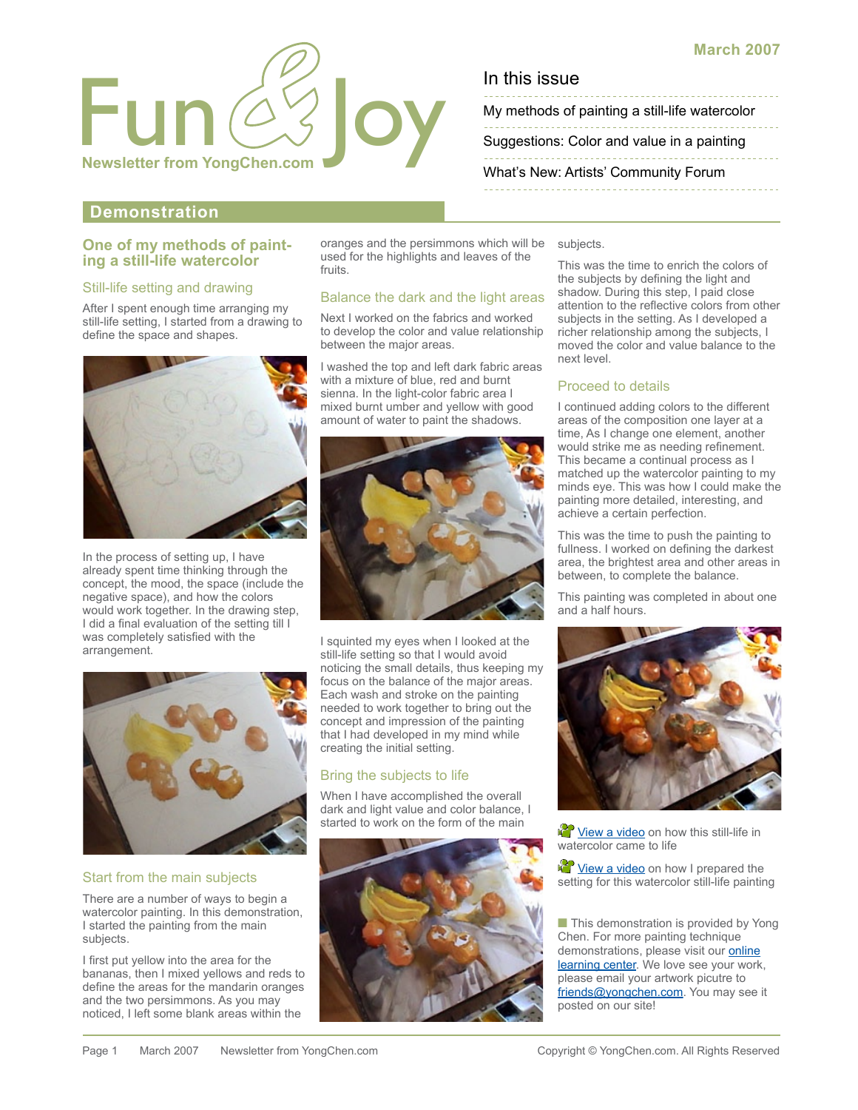

My methods of painting a still-life watercolor

[Suggestions: Color and value in a painting](#page-1-0)

[What's New: Artists' Community Forum](#page-1-0)

# **Demonstration**

# **One of my methods of paint- ing a still-life watercolor**

#### Still-life setting and drawing

After I spent enough time arranging my still-life setting, I started from a drawing to define the space and shapes.



In the process of setting up, I have already spent time thinking through the concept, the mood, the space (include the negative space), and how the colors would work together. In the drawing step, I did a final evaluation of the setting till I was completely satisfied with the arrangement.



#### Start from the main subjects

There are a number of ways to begin a watercolor painting. In this demonstration, I started the painting from the main subjects.

I first put yellow into the area for the bananas, then I mixed yellows and reds to define the areas for the mandarin oranges and the two persimmons. As you may noticed, I left some blank areas within the

oranges and the persimmons which will be used for the highlights and leaves of the fruits.

#### Balance the dark and the light areas

Next I worked on the fabrics and worked to develop the color and value relationship between the major areas.

I washed the top and left dark fabric areas with a mixture of blue, red and burnt sienna. In the light-color fabric area I mixed burnt umber and yellow with good amount of water to paint the shadows.



I squinted my eyes when I looked at the still-life setting so that I would avoid noticing the small details, thus keeping my focus on the balance of the major areas. Each wash and stroke on the painting needed to work together to bring out the concept and impression of the painting that I had developed in my mind while creating the initial setting.

# Bring the subjects to life

When I have accomplished the overall dark and light value and color balance, I started to work on the form of the main



subjects.

This was the time to enrich the colors of the subjects by defining the light and shadow. During this step, I paid close attention to the reflective colors from other subjects in the setting. As I developed a richer relationship among the subjects, I moved the color and value balance to the next level.

#### Proceed to details

I continued adding colors to the different areas of the composition one layer at a time, As I change one element, another would strike me as needing refinement. This became a continual process as I matched up the watercolor painting to my minds eye. This was how I could make the painting more detailed, interesting, and achieve a certain perfection.

This was the time to push the painting to fullness. I worked on defining the darkest area, the brightest area and other areas in between, to complete the balance.

This painting was completed in about one and a half hours.



**We View a video** on how this still-life in watercolor came to life

**View a video** on how I prepared the setting for this watercolor still-life painting

■ This demonstration is provided by Yong Chen. For more painting technique [demonstrations, please visit our online](http://yongchen.com/index_learning.html)  learning center. We love see your work, please email your artwork picutre to [friends@yongchen.com.](mailto:friends@yongchen.com) You may see it posted on our site!